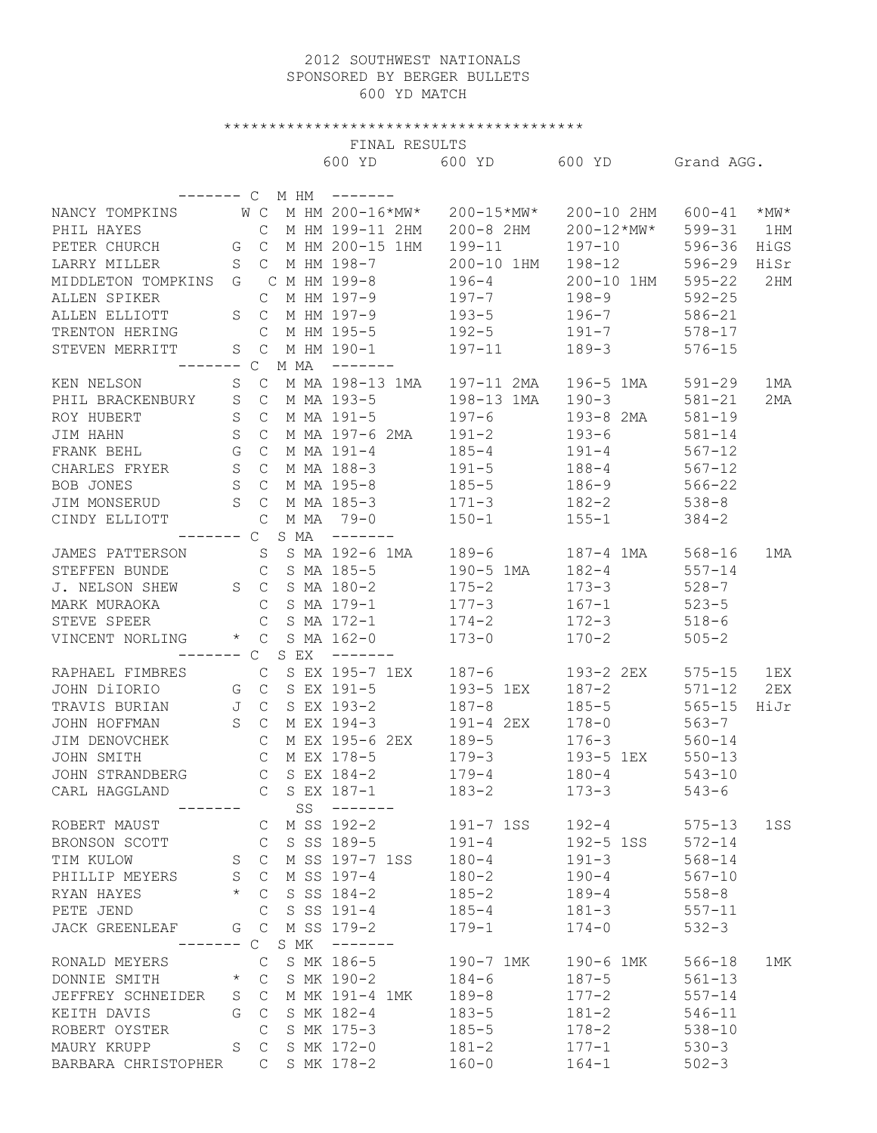## 2012 SOUTHWEST NATIONALS SPONSORED BY BERGER BULLETS 600 YD MATCH

## \*\*\*\*\*\*\*\*\*\*\*\*\*\*\*\*\*\*\*\*\*\*\*\*\*\*\*\*\*\*\*\*\*\*\*\*\*\*\*\*

FINAL RESULTS

|                       |             |               |      | LINAT KEPOLIP     |            |                |            |           |
|-----------------------|-------------|---------------|------|-------------------|------------|----------------|------------|-----------|
|                       |             |               |      | 600 YD            | 600 YD     | 600 YD         | Grand AGG. |           |
|                       |             |               |      |                   |            |                |            |           |
|                       |             | $\mathsf{C}$  | M HM | -------           |            |                |            |           |
| NANCY TOMPKINS        |             | W C           |      | M HM 200-16*MW*   | 200-15*MW* | 200-10 2HM     | $600 - 41$ | $*_{MN}*$ |
| PHIL HAYES            |             | C             |      | M HM 199-11 2HM   | 200-8 2HM  | $200 - 12*MW*$ | $599 - 31$ | 1 HM      |
| PETER CHURCH          | G           | $\mathsf{C}$  |      | M HM 200-15 1HM   | $199 - 11$ | $197 - 10$     | $596 - 36$ | HiGS      |
| LARRY MILLER          | $\rm S$     | $\mathsf{C}$  |      | M HM 198-7        | 200-10 1HM | $198 - 12$     | $596 - 29$ | HiSr      |
| MIDDLETON TOMPKINS    | G           |               |      | C M HM 199-8      | $196 - 4$  | 200-10 1HM     | $595 - 22$ | 2HM       |
| ALLEN SPIKER          |             | C             |      | M HM 197-9        | $197 - 7$  | $198 - 9$      | $592 - 25$ |           |
| ALLEN ELLIOTT         | S           | $\mathcal{C}$ |      | M HM 197-9        | $193 - 5$  | $196 - 7$      | $586 - 21$ |           |
| TRENTON HERING        |             | C             |      | M HM 195-5        | $192 - 5$  | $191 - 7$      | $578 - 17$ |           |
| STEVEN MERRITT        | S           | $\mathsf{C}$  |      | M HM 190-1        | $197 - 11$ | $189 - 3$      | $576 - 15$ |           |
| ----- C               |             |               | M MA | --------          |            |                |            |           |
| KEN NELSON            | S           | $\mathsf C$   |      | M MA 198-13 1MA   | 197-11 2MA | 196-5 1MA      | $591 - 29$ | 1 MA      |
| PHIL BRACKENBURY      | $\mathbf S$ | $\mathsf{C}$  |      | M MA 193-5        | 198-13 1MA | $190 - 3$      | $581 - 21$ | 2MA       |
| ROY HUBERT            | $\rm S$     | $\mathsf{C}$  |      | M MA 191-5        | $197 - 6$  | 193-8 2MA      | $581 - 19$ |           |
| JIM HAHN              | $\rm S$     | $\mathsf{C}$  |      | M MA 197-6 2MA    | $191 - 2$  | $193 - 6$      | $581 - 14$ |           |
| FRANK BEHL            | G           | $\mathcal{C}$ |      | M MA 191-4        | $185 - 4$  | $191 - 4$      | $567 - 12$ |           |
| CHARLES FRYER         | $\mathbf S$ | $\mathsf{C}$  |      | M MA 188-3        | $191 - 5$  | $188 - 4$      | $567 - 12$ |           |
| BOB JONES             | $\rm S$     | $\mathsf{C}$  |      | M MA 195-8        | $185 - 5$  | $186 - 9$      | $566 - 22$ |           |
| JIM MONSERUD          | $\rm S$     | $\mathcal{C}$ |      | M MA 185-3        | $171 - 3$  | $182 - 2$      | $538 - 8$  |           |
| CINDY ELLIOTT         |             | $\mathcal{C}$ | M MA | $79 - 0$          | $150 - 1$  | $155 - 1$      | $384 - 2$  |           |
| ----- C               |             |               | S MA | $- - - - - - -$   |            |                |            |           |
| JAMES PATTERSON       |             | S             |      | S MA 192-6 1MA    | $189 - 6$  | 187-4 1MA      | $568 - 16$ | 1 MA      |
| STEFFEN BUNDE         |             | $\mathcal{C}$ |      | S MA 185-5        | 190-5 1MA  | $182 - 4$      | $557 - 14$ |           |
| J. NELSON SHEW        | S           | $\mathsf{C}$  |      | S MA 180-2        | $175 - 2$  | $173 - 3$      | $528 - 7$  |           |
| MARK MURAOKA          |             | C             |      | S MA 179-1        | $177 - 3$  | $167 - 1$      | $523 - 5$  |           |
| STEVE SPEER           |             | C             |      | S MA 172-1        | $174 - 2$  | $172 - 3$      | $518 - 6$  |           |
| VINCENT NORLING       | $\star$     | $\mathcal{C}$ |      | S MA 162-0        | $173 - 0$  | $170 - 2$      | $505 - 2$  |           |
|                       |             | $\mathsf{C}$  | S EX | $- - - - - - - -$ |            |                |            |           |
| RAPHAEL FIMBRES       |             | $\mathsf{C}$  |      | S EX 195-7 1EX    | $187 - 6$  | 193-2 2EX      | $575 - 15$ | 1EX       |
| JOHN DiIORIO          |             | G C           |      | S EX 191-5        | 193-5 1EX  | $187 - 2$      | $571 - 12$ | 2EX       |
| TRAVIS BURIAN         | J           | $\mathsf{C}$  |      | S EX 193-2        | $187 - 8$  | $185 - 5$      | $565 - 15$ | HiJr      |
| JOHN HOFFMAN          | S           | $\mathcal{C}$ |      | M EX 194-3        | 191-4 2EX  | $178 - 0$      | $563 - 7$  |           |
| JIM DENOVCHEK         |             | $\mathcal{C}$ |      | M EX 195-6 2EX    | $189 - 5$  | $176 - 3$      | $560 - 14$ |           |
| JOHN SMITH            |             | $\mathcal{C}$ |      | M EX 178-5        | $179 - 3$  | 193-5 1EX      | $550 - 13$ |           |
| JOHN STRANDBERG       |             | $\mathcal{C}$ |      | S EX 184-2        | $179 - 4$  | $180 - 4$      | $543 - 10$ |           |
| CARL HAGGLAND         |             |               |      | S EX 187-1        | $183 - 2$  | $173 - 3$      | $543 - 6$  |           |
|                       |             |               | SS   |                   |            |                |            |           |
| ROBERT MAUST          |             | С             |      | M SS 192-2        | 191-7 1SS  | $192 - 4$      | $575 - 13$ | 1SS       |
| BRONSON SCOTT         |             | С             |      | S SS 189-5        | $191 - 4$  | 192-5 1SS      | $572 - 14$ |           |
| TIM KULOW             | S           | $\mathsf{C}$  |      | M SS 197-7 1SS    | $180 - 4$  | $191 - 3$      | $568 - 14$ |           |
| PHILLIP MEYERS        | S           | $\mathsf{C}$  |      | M SS 197-4        | $180 - 2$  | $190 - 4$      | $567 - 10$ |           |
| RYAN HAYES            | $^{\star}$  | C             |      | S SS 184-2        | $185 - 2$  | $189 - 4$      | $558 - 8$  |           |
| PETE JEND             |             | C             |      | S SS 191-4        | $185 - 4$  | $181 - 3$      | $557 - 11$ |           |
| <b>JACK GREENLEAF</b> | G           | $\mathsf{C}$  |      | M SS 179-2        | $179 - 1$  | $174 - 0$      | $532 - 3$  |           |
|                       | ——          | $\mathsf{C}$  | S MK |                   |            |                |            |           |
| RONALD MEYERS         |             | С             |      | S MK 186-5        | 190-7 1MK  | 190-6 1MK      | $566 - 18$ | 1MK       |
| DONNIE SMITH          | $\star$     | $\mathsf{C}$  |      | S MK 190-2        | $184 - 6$  | $187 - 5$      | $561 - 13$ |           |
| JEFFREY SCHNEIDER     | S           | C             |      | M MK 191-4 1MK    | $189 - 8$  | $177 - 2$      | $557 - 14$ |           |
| KEITH DAVIS           | G           | $\mathsf{C}$  |      | S MK 182-4        | $183 - 5$  | $181 - 2$      | $546 - 11$ |           |
| ROBERT OYSTER         |             | С             |      | S MK 175-3        | $185 - 5$  | $178 - 2$      | $538 - 10$ |           |
| MAURY KRUPP           | S           | $\mathsf{C}$  |      | S MK 172-0        | $181 - 2$  | $177 - 1$      | $530 - 3$  |           |
| BARBARA CHRISTOPHER   |             | С             |      | S MK 178-2        | $160 - 0$  | $164 - 1$      | $502 - 3$  |           |
|                       |             |               |      |                   |            |                |            |           |